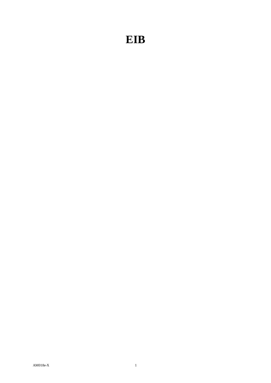## **EIB**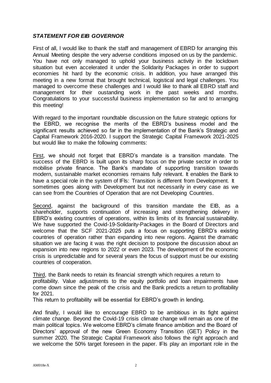## *STATEMENT FOR EIB GOVERNOR*

First of all, I would like to thank the staff and management of EBRD for arranging this Annual Meeting despite the very adverse conditions imposed on us by the pandemic. You have not only managed to uphold your business activity in the lockdown situation but even accelerated it under the Solidarity Packages in order to support economies hit hard by the economic crisis. In addition, you have arranged this meeting in a new format that brought technical, logistical and legal challenges. You managed to overcome these challenges and I would like to thank all EBRD staff and management for their oustanding work in the past weeks and months. Congratulations to your successful business implementation so far and to arranging this meeting!

With regard to the important roundtable discussion on the future strategic options for the EBRD, we recognise the merits of the EBRD's business model and the significant results achieved so far in the implementation of the Bank's Strategic and Capital Framework 2016-2020. I support the Strategic Capital Framework 2021-2025 but would like to make the following comments:

First, we should not forget that EBRD's mandate is a transition mandate. The success of the EBRD is built upon its sharp focus on the private sector in order to mobilise private finance. The Bank's mandate of supporting transition towards modern, sustainable market economies remains fully relevant. It enables the Bank to have a special role in the system of IFIs: Transition is different from Development. It sometimes goes along with Development but not necessarily in every case as we can see from the Countries of Operation that are not Developing Countries.

Second, against the background of this transition mandate the EIB, as a shareholder, supports continuation of increasing and strengthening delivery in EBRD's existing countries of operations, within its limits of its financial sustainability. We have supported the Covid-19-Solidarity-Packages in the Board of Directors and welcome that the SCF 2021-2025 puts a focus on supporting EBRD's existing countries of operation rather than expanding into new regions. Against the dramatic situation we are facing it was the right decision to postpone the discussion about an expansion into new regions to 2022 or even 2023. The development of the economic crisis is unpredictable and for several years the focus of support must be our existing countries of cooperation.

Third, the Bank needs to retain its financial strength which requires a return to profitability. Value adjustments to the equity portfolio and loan impairments have come down since the peak of the crisis and the Bank predicts a return to profitability for 2021.

This return to profitability will be essential for EBRD's growth in lending.

And finally, I would like to encourage EBRD to be ambitious in its fight against climate change. Beyond the Covid-19 crisis climate change will remain as one of the main political topics. We welcome EBRD's climate finance ambition and the Board of Directors' approval of the new Green Economy Transition (GET) Policy in the summer 2020. The Strategic Capital Framework also follows the right approach and we welcome the 50% target foreseen in the paper. IFIs play an important role in the